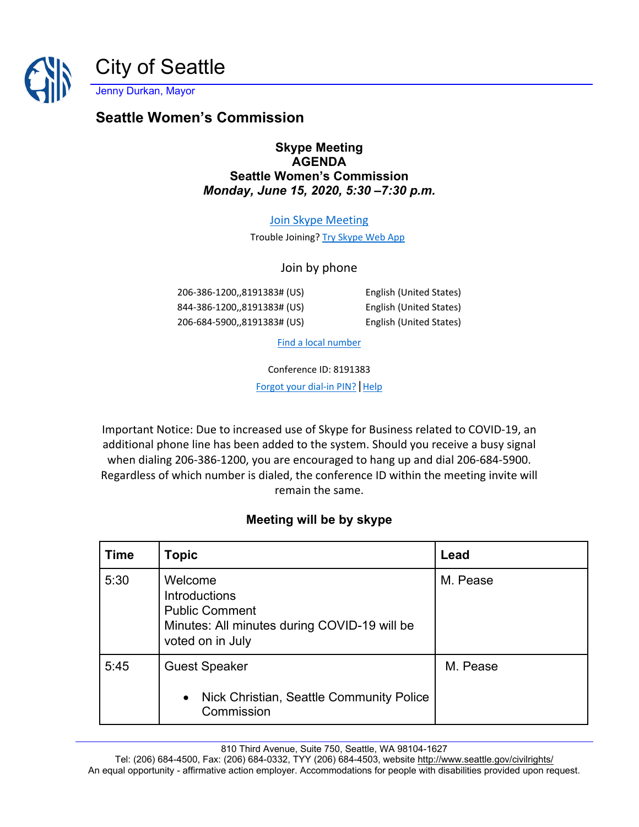

Jenny Durkan, Mayor

# **Seattle Women's Commission**

#### **Skype Meeting AGENDA Seattle Women's Commission** *Monday, June 15, 2020, 5:30 –7:30 p.m.*

#### [Join Skype Meeting](https://meet.seattle.gov/marta.idowu/73KDG0Z7)

Trouble Joining? [Try Skype Web App](https://meet.seattle.gov/marta.idowu/73KDG0Z7?sl=1)

#### Join by phone

206-386-1200,,8191383# (US) English (United States) 844-386-1200,,8191383# (US) English (United States) 206-684-5900,,8191383# (US) English (United States)

[Find a local number](https://dialin.seattle.gov/?id=8191383)

Conference ID: 8191383

[Forgot your dial-in PIN?](https://dialin.seattle.gov/) | Help

Important Notice: Due to increased use of Skype for Business related to COVID-19, an additional phone line has been added to the system. Should you receive a busy signal when dialing 206-386-1200, you are encouraged to hang up and dial 206-684-5900. Regardless of which number is dialed, the conference ID within the meeting invite will remain the same.

### **Meeting will be by skype**

| <b>Time</b> | <b>Topic</b>                                                                                                                 | Lead     |
|-------------|------------------------------------------------------------------------------------------------------------------------------|----------|
| 5:30        | Welcome<br><b>Introductions</b><br><b>Public Comment</b><br>Minutes: All minutes during COVID-19 will be<br>voted on in July | M. Pease |
| 5:45        | <b>Guest Speaker</b><br>• Nick Christian, Seattle Community Police<br>Commission                                             | M. Pease |

810 Third Avenue, Suite 750, Seattle, WA 98104-1627

Tel: (206) 684-4500, Fax: (206) 684-0332, TYY (206) 684-4503, website<http://www.seattle.gov/civilrights/> An equal opportunity - affirmative action employer. Accommodations for people with disabilities provided upon request.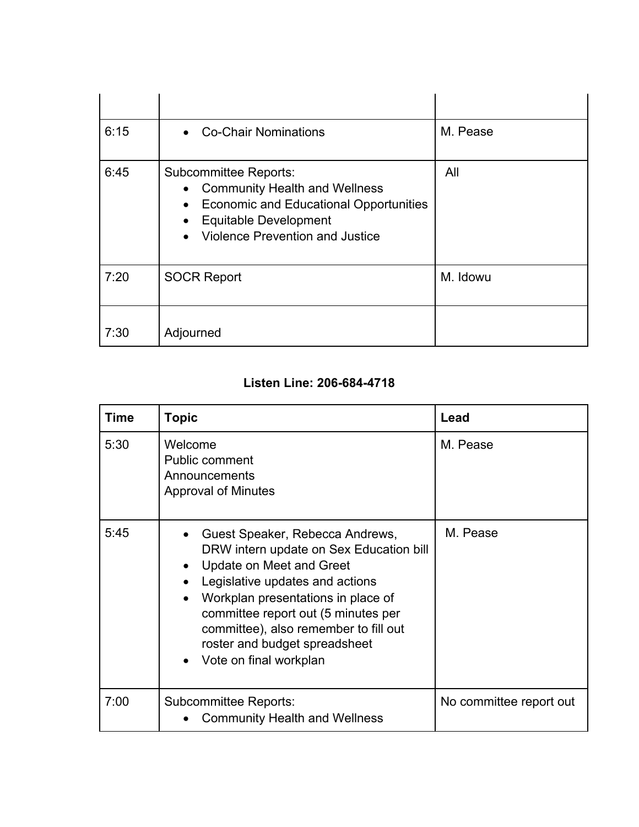| 6:15 | <b>Co-Chair Nominations</b><br>$\bullet$                                                                                                                                                                                                     | M. Pease |
|------|----------------------------------------------------------------------------------------------------------------------------------------------------------------------------------------------------------------------------------------------|----------|
| 6:45 | <b>Subcommittee Reports:</b><br><b>Community Health and Wellness</b><br>$\bullet$<br><b>Economic and Educational Opportunities</b><br>$\bullet$<br><b>Equitable Development</b><br>$\bullet$<br>Violence Prevention and Justice<br>$\bullet$ | All      |
| 7:20 | <b>SOCR Report</b>                                                                                                                                                                                                                           | M. Idowu |
| 7:30 | Adjourned                                                                                                                                                                                                                                    |          |

## **Listen Line: 206-684-4718**

| Time | <b>Topic</b>                                                                                                                                                                                                                                                                                                                                                                   | Lead                    |
|------|--------------------------------------------------------------------------------------------------------------------------------------------------------------------------------------------------------------------------------------------------------------------------------------------------------------------------------------------------------------------------------|-------------------------|
| 5:30 | Welcome<br>Public comment<br>Announcements<br><b>Approval of Minutes</b>                                                                                                                                                                                                                                                                                                       | M. Pease                |
| 5:45 | Guest Speaker, Rebecca Andrews,<br>DRW intern update on Sex Education bill<br>Update on Meet and Greet<br>$\bullet$<br>Legislative updates and actions<br>$\bullet$<br>Workplan presentations in place of<br>$\bullet$<br>committee report out (5 minutes per<br>committee), also remember to fill out<br>roster and budget spreadsheet<br>Vote on final workplan<br>$\bullet$ | M. Pease                |
| 7:00 | Subcommittee Reports:<br><b>Community Health and Wellness</b>                                                                                                                                                                                                                                                                                                                  | No committee report out |